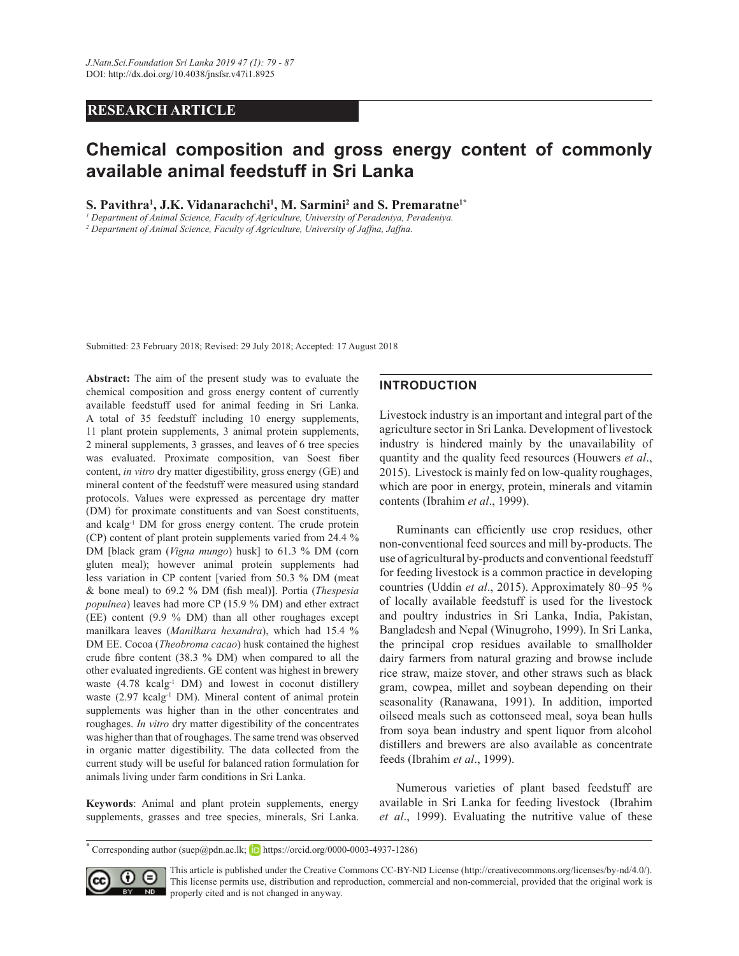# **RESEARCH ARTICLE**

# Chemical composition and gross energy content of commonly **available animal feedstuff in Sri Lanka**

**5.** Pavithra<sup>1</sup>, J.K. Vidanarachchi<sup>1</sup>, M. Sarmini<sup>2</sup> and S. Premaratne<sup>1\*</sup>

*1 Department of Animal Science, Faculty of Agriculture, University of Peradeniya, Peradeniya.*

*2 Department of Animal Science, Faculty of Agriculture, University of Jaffna, Jaffna.*

Submitted: 23 February 2018; Revised: 29 July 2018; Accepted: 17 August 2018

Abstract: The aim of the present study was to evaluate the chemical composition and gross energy content of currently available feedstuff used for animal feeding in Sri Lanka. A total of 35 feedstuff including 10 energy supplements, 11 plant protein supplements, 3 animal protein supplements, 2 mineral supplements, 3 grasses, and leaves of 6 tree species was evaluated. Proximate composition, van Soest fiber content, *in vitro* dry matter digestibility, gross energy (GE) and mineral content of the feedstuff were measured using standard protocols. Values were expressed as percentage dry matter (DM) for proximate constituents and van Soest constituents, and kcalg-1 DM for gross energy content. The crude protein (CP) content of plant protein supplements varied from 24.4 % DM [black gram (*Vigna mungo*) husk] to 61.3 % DM (corn gluten meal); however animal protein supplements had less variation in CP content [varied from 50.3 % DM (meat & bone meal) to 69.2 % DM (fish meal)]. Portia (Thespesia *populnea*) leaves had more CP (15.9 % DM) and ether extract (EE) content (9.9 % DM) than all other roughages except manilkara leaves (Manilkara hexandra), which had 15.4 % DM EE. Cocoa (*Theobroma cacao*) husk contained the highest crude fibre content (38.3  $%$  DM) when compared to all the other evaluated ingredients. GE content was highest in brewery waste  $(4.78 \text{ kcalg}^{-1} \text{ DM})$  and lowest in coconut distillery waste (2.97 kcalg<sup>-1</sup> DM). Mineral content of animal protein supplements was higher than in the other concentrates and roughages. *In vitro* dry matter digestibility of the concentrates was higher than that of roughages. The same trend was observed in organic matter digestibility. The data collected from the current study will be useful for balanced ration formulation for animals living under farm conditions in Sri Lanka.

Keywords: Animal and plant protein supplements, energy supplements, grasses and tree species, minerals, Sri Lanka.

# **INTRODUCTION**

Livestock industry is an important and integral part of the agriculture sector in Sri Lanka. Development of livestock industry is hindered mainly by the unavailability of quantity and the quality feed resources (Houwers *et al* 2015). Livestock is mainly fed on low-quality roughages, which are poor in energy, protein, minerals and vitamin contents (Ibrahim *et al* 

Ruminants can efficiently use crop residues, other non-conventional feed sources and mill by-products. The use of agricultural by-products and conventional feedstuff for feeding livestock is a common practice in developing countries (Uddin *et al.*, 2015). Approximately 80–95 % of locally available feedstuff is used for the livestock and poultry industries in Sri Lanka, India, Pakistan, Bangladesh and Nepal (Winugroho, 1999). In Sri Lanka, the principal crop residues available to smallholder dairy farmers from natural grazing and browse include rice straw, maize stover, and other straws such as black gram, cowpea, millet and soybean depending on their seasonality (Ranawana, 1991). In addition, imported oilseed meals such as cottonseed meal, soya bean hulls from soya bean industry and spent liquor from alcohol distillers and brewers are also available as concentrate feeds (Ibrahim *et al* 

 Numerous varieties of plant based feedstuff are available in Sri Lanka for feeding livestock (Ibrahim et al., 1999). Evaluating the nutritive value of these

 $*$  Corresponding author (suep@pdn.ac.lk; **b** https://orcid.org/0000-0003-4937-1286)



This article is published under the Creative Commons CC-BY-ND License (http://creativecommons.org/licenses/by-nd/4.0/). This license permits use, distribution and reproduction, commercial and non-commercial, provided that the original work is **NO** properly cited and is not changed in anyway.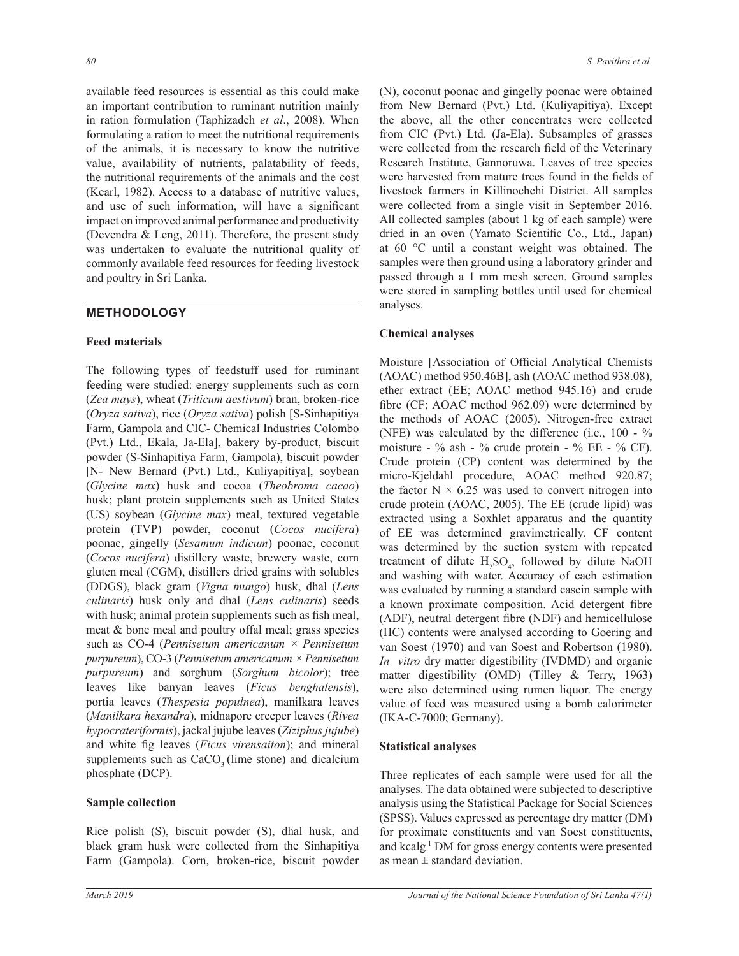available feed resources is essential as this could make an important contribution to ruminant nutrition mainly in ration formulation (Taphizadeh et al., 2008). When formulating a ration to meet the nutritional requirements of the animals, it is necessary to know the nutritive value, availability of nutrients, palatability of feeds, the nutritional requirements of the animals and the cost (Kearl, 1982). Access to a database of nutritive values, and use of such information, will have a significant impact on improved animal performance and productivity (Devendra  $\&$  Leng, 2011). Therefore, the present study was undertaken to evaluate the nutritional quality of commonly available feed resources for feeding livestock and poultry in Sri Lanka.

# **METHODOLOGY**

### **Feed materials**

The following types of feedstuff used for ruminant feeding were studied: energy supplements such as corn (Zea mays), wheat (Triticum aestivum) bran, broken-rice *(Oryza sativa)*, rice *(Oryza sativa)* polish [S-Sinhapitiva Farm, Gampola and CIC- Chemical Industries Colombo (Pvt.) Ltd., Ekala, Ja-Ela], bakery by-product, biscuit powder (S-Sinhapitiya Farm, Gampola), biscuit powder [N- New Bernard (Pvt.) Ltd., Kuliyapitiya], soybean (Glycine max) husk and cocoa (Theobroma cacao) husk; plant protein supplements such as United States (US) soybean (Glycine max) meal, textured vegetable protein (TVP) powder, coconut (Cocos nucifera) poonac, gingelly (Sesamum indicum) poonac, coconut (Cocos nucifera) distillery waste, brewery waste, corn gluten meal (CGM), distillers dried grains with solubles (DDGS), black gram (Vigna mungo) husk, dhal (Lens culinaris) husk only and dhal (Lens culinaris) seeds with husk; animal protein supplements such as fish meal, meat & bone meal and poultry offal meal; grass species such as CO-4 (Pennisetum americanum  $\times$  Pennisetum purpureum), CO-3 (Pennisetum americanum  $\times$  Pennisetum *purpureum*) and sorghum (Sorghum bicolor); tree leaves like banyan leaves (Ficus benghalensis), portia leaves (Thespesia populnea), manilkara leaves (Manilkara hexandra), midnapore creeper leaves (Rivea hypocrateriformis), jackal jujube leaves (Ziziphus jujube) and white fig leaves (*Ficus virensaiton*); and mineral supplements such as CaCO<sub>3</sub> (lime stone) and dicalcium phosphate (DCP).

### **Sample collection**

Rice polish (S), biscuit powder (S), dhal husk, and black gram husk were collected from the Sinhapitiya Farm (Gampola). Corn, broken-rice, biscuit powder (N), coconut poonac and gingelly poonac were obtained from New Bernard (Pvt.) Ltd. (Kuliyapitiya). Except the above, all the other concentrates were collected from CIC (Pvt.) Ltd. (Ja-Ela). Subsamples of grasses were collected from the research field of the Veterinary Research Institute, Gannoruwa, Leaves of tree species were harvested from mature trees found in the fields of livestock farmers in Killinochchi District. All samples were collected from a single visit in September 2016. All collected samples (about 1 kg of each sample) were dried in an oven (Yamato Scientific Co., Ltd., Japan) at 60 °C until a constant weight was obtained. The samples were then ground using a laboratory grinder and passed through a 1 mm mesh screen. Ground samples were stored in sampling bottles until used for chemical analyses.

#### **Chemical analyses**

Moisture [Association of Official Analytical Chemists (AOAC) method 950.46B], ash (AOAC method 938.08), ether extract (EE; AOAC method 945.16) and crude fibre (CF; AOAC method 962.09) were determined by the methods of AOAC (2005). Nitrogen-free extract (NFE) was calculated by the difference (i.e.,  $100 - %$ moisture - % ash - % crude protein - % EE - % CF). Crude protein (CP) content was determined by the micro-Kjeldahl procedure, AOAC method 920.87; the factor  $N \times 6.25$  was used to convert nitrogen into crude protein (AOAC, 2005). The EE (crude lipid) was extracted using a Soxhlet apparatus and the quantity of EE was determined gravimetrically. CF content was determined by the suction system with repeated treatment of dilute H<sub>2</sub>SO<sub>4</sub>, followed by dilute NaOH and washing with water. Accuracy of each estimation was evaluated by running a standard casein sample with a known proximate composition. Acid detergent fibre (ADF), neutral detergent fibre (NDF) and hemicellulose (HC) contents were analysed according to Goering and van Soest (1970) and van Soest and Robertson (1980). *In vitro* dry matter digestibility (IVDMD) and organic matter digestibility (OMD) (Tilley & Terry, 1963) were also determined using rumen liquor. The energy value of feed was measured using a bomb calorimeter (IKA-C-7000; Germany).

#### **Statistical analyses**

Three replicates of each sample were used for all the analyses. The data obtained were subjected to descriptive analysis using the Statistical Package for Social Sciences (SPSS). Values expressed as percentage dry matter (DM) for proximate constituents and van Soest constituents, and kcalg<sup>-1</sup> DM for gross energy contents were presented as mean  $\pm$  standard deviation.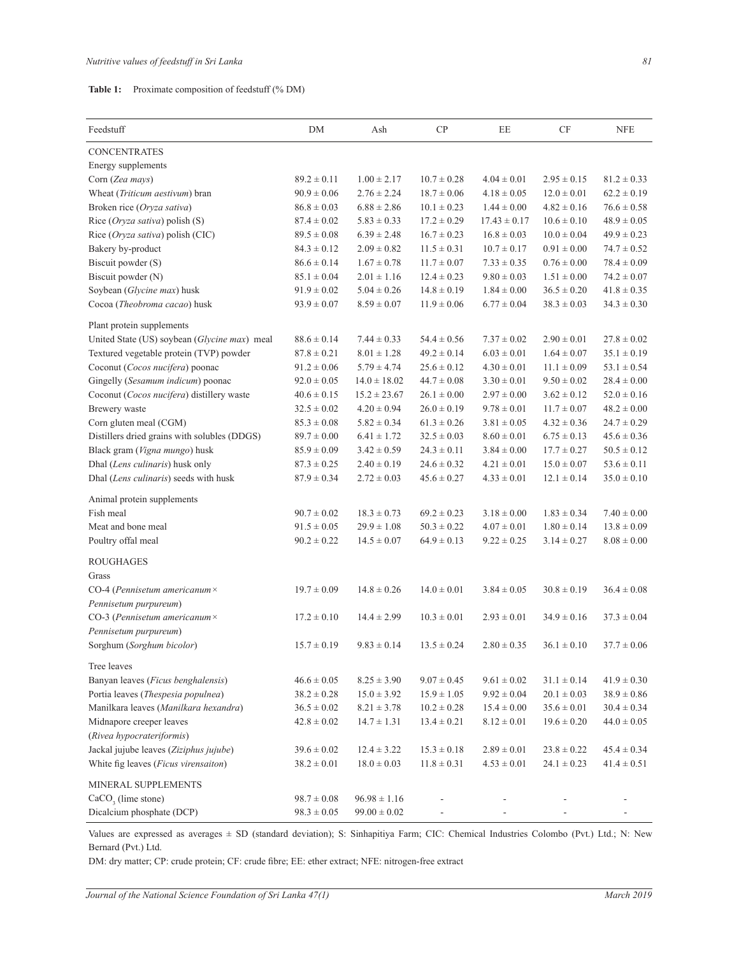| Table 1: |  |  | Proximate composition of feedstuff (% DM) |  |
|----------|--|--|-------------------------------------------|--|
|----------|--|--|-------------------------------------------|--|

| Feedstuff                                                     | DM              | Ash              | CP              | EE               | CF              | <b>NFE</b>      |
|---------------------------------------------------------------|-----------------|------------------|-----------------|------------------|-----------------|-----------------|
| <b>CONCENTRATES</b>                                           |                 |                  |                 |                  |                 |                 |
| Energy supplements                                            |                 |                  |                 |                  |                 |                 |
| Corn (Zea mays)                                               | $89.2 \pm 0.11$ | $1.00 \pm 2.17$  | $10.7 \pm 0.28$ | $4.04 \pm 0.01$  | $2.95 \pm 0.15$ | $81.2 \pm 0.33$ |
| Wheat (Triticum aestivum) bran                                | $90.9 \pm 0.06$ | $2.76 \pm 2.24$  | $18.7 \pm 0.06$ | $4.18 \pm 0.05$  | $12.0 \pm 0.01$ | $62.2 \pm 0.19$ |
| Broken rice (Oryza sativa)                                    | $86.8 \pm 0.03$ | $6.88 \pm 2.86$  | $10.1 \pm 0.23$ | $1.44 \pm 0.00$  | $4.82 \pm 0.16$ | $76.6 \pm 0.58$ |
| Rice (Oryza sativa) polish (S)                                | $87.4 \pm 0.02$ | $5.83 \pm 0.33$  | $17.2 \pm 0.29$ | $17.43 \pm 0.17$ | $10.6 \pm 0.10$ | $48.9 \pm 0.05$ |
| Rice (Oryza sativa) polish (CIC)                              | $89.5 \pm 0.08$ | $6.39 \pm 2.48$  | $16.7 \pm 0.23$ | $16.8 \pm 0.03$  | $10.0 \pm 0.04$ | $49.9 \pm 0.23$ |
| Bakery by-product                                             | $84.3 \pm 0.12$ | $2.09 \pm 0.82$  | $11.5 \pm 0.31$ | $10.7 \pm 0.17$  | $0.91 \pm 0.00$ | $74.7 \pm 0.52$ |
| Biscuit powder (S)                                            | $86.6 \pm 0.14$ | $1.67 \pm 0.78$  | $11.7 \pm 0.07$ | $7.33 \pm 0.35$  | $0.76 \pm 0.00$ | $78.4 \pm 0.09$ |
| Biscuit powder (N)                                            | $85.1 \pm 0.04$ | $2.01 \pm 1.16$  | $12.4 \pm 0.23$ | $9.80 \pm 0.03$  | $1.51 \pm 0.00$ | $74.2 \pm 0.07$ |
| Soybean (Glycine max) husk                                    | $91.9 \pm 0.02$ | $5.04 \pm 0.26$  | $14.8 \pm 0.19$ | $1.84 \pm 0.00$  | $36.5 \pm 0.20$ | $41.8 \pm 0.35$ |
| Cocoa (Theobroma cacao) husk                                  | $93.9 \pm 0.07$ | $8.59 \pm 0.07$  | $11.9 \pm 0.06$ | $6.77 \pm 0.04$  | $38.3 \pm 0.03$ | $34.3 \pm 0.30$ |
| Plant protein supplements                                     |                 |                  |                 |                  |                 |                 |
| United State (US) soybean (Glycine max) meal                  | $88.6 \pm 0.14$ | $7.44 \pm 0.33$  | $54.4 \pm 0.56$ | $7.37 \pm 0.02$  | $2.90 \pm 0.01$ | $27.8 \pm 0.02$ |
| Textured vegetable protein (TVP) powder                       | $87.8\pm0.21$   | $8.01 \pm 1.28$  | $49.2 \pm 0.14$ | $6.03 \pm 0.01$  | $1.64 \pm 0.07$ | $35.1 \pm 0.19$ |
| Coconut (Cocos nucifera) poonac                               | $91.2 \pm 0.06$ | $5.79 \pm 4.74$  | $25.6 \pm 0.12$ | $4.30 \pm 0.01$  | $11.1 \pm 0.09$ | $53.1 \pm 0.54$ |
| Gingelly (Sesamum indicum) poonac                             | $92.0 \pm 0.05$ | $14.0 \pm 18.02$ | $44.7 \pm 0.08$ | $3.30 \pm 0.01$  | $9.50 \pm 0.02$ | $28.4 \pm 0.00$ |
| Coconut (Cocos nucifera) distillery waste                     | $40.6 \pm 0.15$ | $15.2 \pm 23.67$ | $26.1 \pm 0.00$ | $2.97 \pm 0.00$  | $3.62 \pm 0.12$ | $52.0 \pm 0.16$ |
| Brewery waste                                                 | $32.5 \pm 0.02$ | $4.20 \pm 0.94$  | $26.0 \pm 0.19$ | $9.78 \pm 0.01$  | $11.7 \pm 0.07$ | $48.2 \pm 0.00$ |
| Corn gluten meal (CGM)                                        | $85.3\pm0.08$   | $5.82 \pm 0.34$  | $61.3 \pm 0.26$ | $3.81 \pm 0.05$  | $4.32 \pm 0.36$ | $24.7 \pm 0.29$ |
| Distillers dried grains with solubles (DDGS)                  | $89.7 \pm 0.00$ | $6.41 \pm 1.72$  | $32.5 \pm 0.03$ | $8.60\pm0.01$    | $6.75 \pm 0.13$ | $45.6 \pm 0.36$ |
| Black gram (Vigna mungo) husk                                 | $85.9 \pm 0.09$ | $3.42 \pm 0.59$  | $24.3 \pm 0.11$ | $3.84 \pm 0.00$  | $17.7 \pm 0.27$ | $50.5 \pm 0.12$ |
| Dhal (Lens culinaris) husk only                               | $87.3 \pm 0.25$ | $2.40 \pm 0.19$  | $24.6 \pm 0.32$ | $4.21 \pm 0.01$  | $15.0 \pm 0.07$ | $53.6 \pm 0.11$ |
| Dhal (Lens culinaris) seeds with husk                         | $87.9 \pm 0.34$ | $2.72 \pm 0.03$  | $45.6 \pm 0.27$ | $4.33 \pm 0.01$  | $12.1\pm0.14$   | $35.0 \pm 0.10$ |
| Animal protein supplements                                    |                 |                  |                 |                  |                 |                 |
| Fish meal                                                     | $90.7 \pm 0.02$ | $18.3 \pm 0.73$  | $69.2 \pm 0.23$ | $3.18 \pm 0.00$  | $1.83 \pm 0.34$ | $7.40 \pm 0.00$ |
| Meat and bone meal                                            | $91.5 \pm 0.05$ | $29.9 \pm 1.08$  | $50.3 \pm 0.22$ | $4.07 \pm 0.01$  | $1.80 \pm 0.14$ | $13.8 \pm 0.09$ |
| Poultry offal meal                                            | $90.2 \pm 0.22$ | $14.5 \pm 0.07$  | $64.9 \pm 0.13$ | $9.22 \pm 0.25$  | $3.14 \pm 0.27$ | $8.08 \pm 0.00$ |
| <b>ROUGHAGES</b>                                              |                 |                  |                 |                  |                 |                 |
| Grass                                                         |                 |                  |                 |                  |                 |                 |
| CO-4 (Pennisetum americanum $\times$<br>Pennisetum purpureum) | $19.7 \pm 0.09$ | $14.8 \pm 0.26$  | $14.0 \pm 0.01$ | $3.84 \pm 0.05$  | $30.8 \pm 0.19$ | $36.4 \pm 0.08$ |
| CO-3 (Pennisetum americanum $\times$                          | $17.2 \pm 0.10$ | $14.4 \pm 2.99$  | $10.3 \pm 0.01$ | $2.93 \pm 0.01$  | $34.9 \pm 0.16$ | $37.3 \pm 0.04$ |
| Pennisetum purpureum)                                         |                 |                  |                 |                  |                 |                 |
| Sorghum (Sorghum bicolor)                                     | $15.7 \pm 0.19$ | $9.83 \pm 0.14$  | $13.5 \pm 0.24$ | $2.80 \pm 0.35$  | $36.1 \pm 0.10$ | $37.7 \pm 0.06$ |
|                                                               |                 |                  |                 |                  |                 |                 |
| Tree leaves<br>Banyan leaves (Ficus benghalensis)             | $46.6 \pm 0.05$ | $8.25 \pm 3.90$  | $9.07 \pm 0.45$ | $9.61 \pm 0.02$  | $31.1 \pm 0.14$ | $41.9 \pm 0.30$ |
| Portia leaves (Thespesia populnea)                            | $38.2 \pm 0.28$ | $15.0 \pm 3.92$  | $15.9 \pm 1.05$ | $9.92 \pm 0.04$  | $20.1 \pm 0.03$ | $38.9\pm0.86$   |
| Manilkara leaves (Manilkara hexandra)                         | $36.5 \pm 0.02$ | $8.21 \pm 3.78$  | $10.2 \pm 0.28$ | $15.4\pm0.00$    | $35.6 \pm 0.01$ | $30.4 \pm 0.34$ |
| Midnapore creeper leaves                                      | $42.8 \pm 0.02$ | $14.7 \pm 1.31$  | $13.4 \pm 0.21$ | $8.12 \pm 0.01$  | $19.6 \pm 0.20$ | $44.0 \pm 0.05$ |
| (Rivea hypocrateriformis)                                     |                 |                  |                 |                  |                 |                 |
| Jackal jujube leaves (Ziziphus jujube)                        | $39.6 \pm 0.02$ | $12.4 \pm 3.22$  | $15.3 \pm 0.18$ | $2.89 \pm 0.01$  | $23.8 \pm 0.22$ | $45.4 \pm 0.34$ |
| White fig leaves (Ficus virensaiton)                          | $38.2 \pm 0.01$ | $18.0 \pm 0.03$  | $11.8 \pm 0.31$ | $4.53 \pm 0.01$  | $24.1\pm0.23$   | $41.4 \pm 0.51$ |
|                                                               |                 |                  |                 |                  |                 |                 |
| MINERAL SUPPLEMENTS                                           |                 |                  |                 |                  |                 |                 |
| $CaCO3$ (lime stone)                                          | $98.7 \pm 0.08$ | $96.98 \pm 1.16$ |                 |                  |                 |                 |
| Dicalcium phosphate (DCP)                                     | $98.3 \pm 0.05$ | $99.00 \pm 0.02$ |                 |                  |                 |                 |

Values are expressed as averages  $\pm$  SD (standard deviation); S: Sinhapitiya Farm; CIC: Chemical Industries Colombo (Pvt.) Ltd.; N: New Bernard (Pvt.) Ltd.

DM: dry matter; CP: crude protein; CF: crude fibre; EE: ether extract; NFE: nitrogen-free extract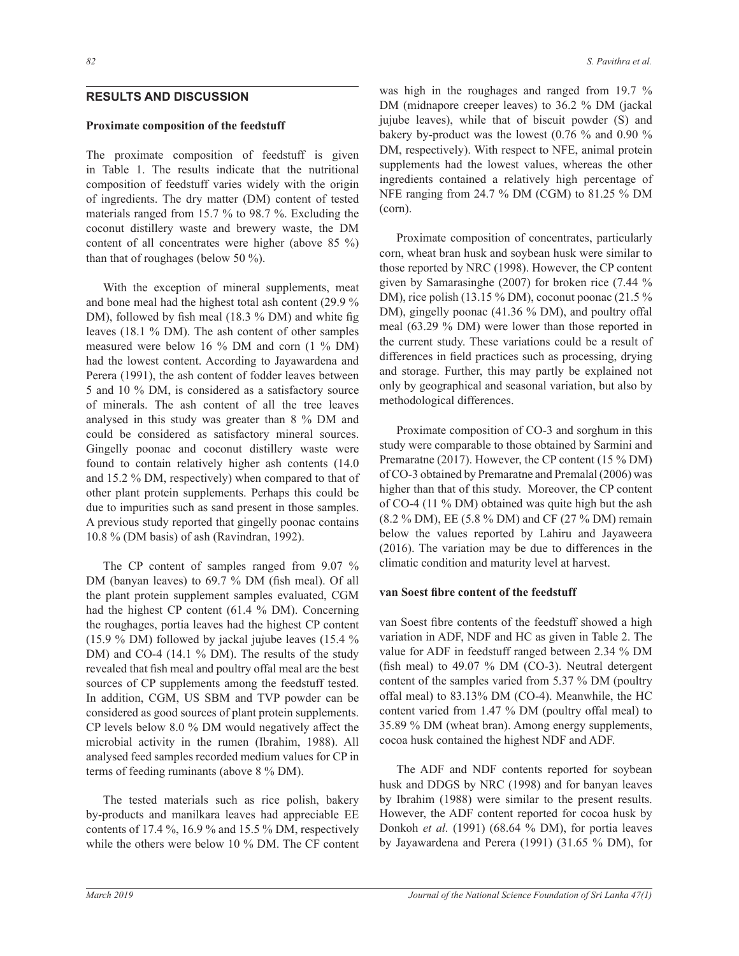# **RESULTS AND DISCUSSION**

# Proximate composition of the feedstuff

The proximate composition of feedstuff is given in Table 1. The results indicate that the nutritional composition of feedstuff varies widely with the origin of ingredients. The dry matter (DM) content of tested materials ranged from 15.7  $\%$  to 98.7  $\%$ . Excluding the coconut distillery waste and brewery waste, the DM content of all concentrates were higher (above 85  $\%$ ) than that of roughages (below 50  $\%$ ).

With the exception of mineral supplements, meat and bone meal had the highest total ash content  $(29.9\%$ DM), followed by fish meal (18.3 % DM) and white fig leaves (18.1 % DM). The ash content of other samples measured were below 16  $\%$  DM and corn (1  $\%$  DM) had the lowest content. According to Jayawardena and Perera (1991), the ash content of fodder leaves between 5 and 10 % DM, is considered as a satisfactory source of minerals. The ash content of all the tree leaves analysed in this study was greater than  $8\%$  DM and could be considered as satisfactory mineral sources. Gingelly poonac and coconut distillery waste were found to contain relatively higher ash contents (14.0 and 15.2  $\%$  DM, respectively) when compared to that of other plant protein supplements. Perhaps this could be due to impurities such as sand present in those samples. A previous study reported that gingelly poonac contains 10.8 % (DM basis) of ash (Ravindran, 1992).

The CP content of samples ranged from  $9.07\%$ DM (banyan leaves) to 69.7 % DM (fish meal). Of all the plant protein supplement samples evaluated, CGM had the highest CP content (61.4 % DM). Concerning the roughages, portia leaves had the highest CP content (15.9 % DM) followed by jackal jujube leaves (15.4 %) DM) and CO-4 (14.1  $\%$  DM). The results of the study revealed that fish meal and poultry offal meal are the best sources of CP supplements among the feedstuff tested. In addition, CGM, US SBM and TVP powder can be considered as good sources of plant protein supplements.  $CP$  levels below 8.0 % DM would negatively affect the microbial activity in the rumen (Ibrahim, 1988). All analysed feed samples recorded medium values for CP in terms of feeding ruminants (above  $8\%$  DM).

The tested materials such as rice polish, bakery by-products and manilkara leaves had appreciable EE contents of 17.4 %, 16.9 % and 15.5 % DM, respectively while the others were below 10 % DM. The CF content was high in the roughages and ranged from  $19.7\%$ DM (midnapore creeper leaves) to 36.2 % DM (jackal jujube leaves), while that of biscuit powder (S) and bakery by-product was the lowest  $(0.76\%$  and  $0.90\%$ DM, respectively). With respect to NFE, animal protein supplements had the lowest values, whereas the other ingredients contained a relatively high percentage of NFE ranging from 24.7 % DM (CGM) to 81.25 % DM (corn).

Proximate composition of concentrates, particularly corn, wheat bran husk and soybean husk were similar to those reported by NRC (1998). However, the CP content given by Samarasinghe (2007) for broken rice (7.44  $\%$ DM), rice polish (13.15 % DM), coconut poonac (21.5 % DM), gingelly poonac (41.36 % DM), and poultry offal meal  $(63.29\%$  DM) were lower than those reported in the current study. These variations could be a result of differences in field practices such as processing, drying and storage. Further, this may partly be explained not only by geographical and seasonal variation, but also by methodological differences.

 Proximate composition of CO-3 and sorghum in this study were comparable to those obtained by Sarmini and Premaratne (2017). However, the CP content (15 % DM) of CO-3 obtained by Premaratne and Premalal (2006) was higher than that of this study. Moreover, the CP content of CO-4 (11 % DM) obtained was quite high but the ash  $(8.2\%$  DM), EE (5.8 % DM) and CF (27 % DM) remain below the values reported by Lahiru and Jayaweera (2016). The variation may be due to differences in the climatic condition and maturity level at harvest.

### **Yan Soest fibre content of the feedstuff**

van Soest fibre contents of the feedstuff showed a high variation in ADF, NDF and HC as given in Table 2. The value for ADF in feedstuff ranged between 2.34 % DM (fish meal) to 49.07  $%$  DM (CO-3). Neutral detergent content of the samples varied from  $5.37\%$  DM (poultry offal meal) to 83.13% DM (CO-4). Meanwhile, the HC content varied from  $1.47$  % DM (poultry offal meal) to 35.89 % DM (wheat bran). Among energy supplements, cocoa husk contained the highest NDF and ADF.

 The ADF and NDF contents reported for soybean husk and DDGS by NRC (1998) and for banyan leaves by Ibrahim (1988) were similar to the present results. However, the ADF content reported for cocoa husk by Donkoh et al. (1991) (68.64 % DM), for portia leaves by Jayawardena and Perera (1991) (31.65 % DM), for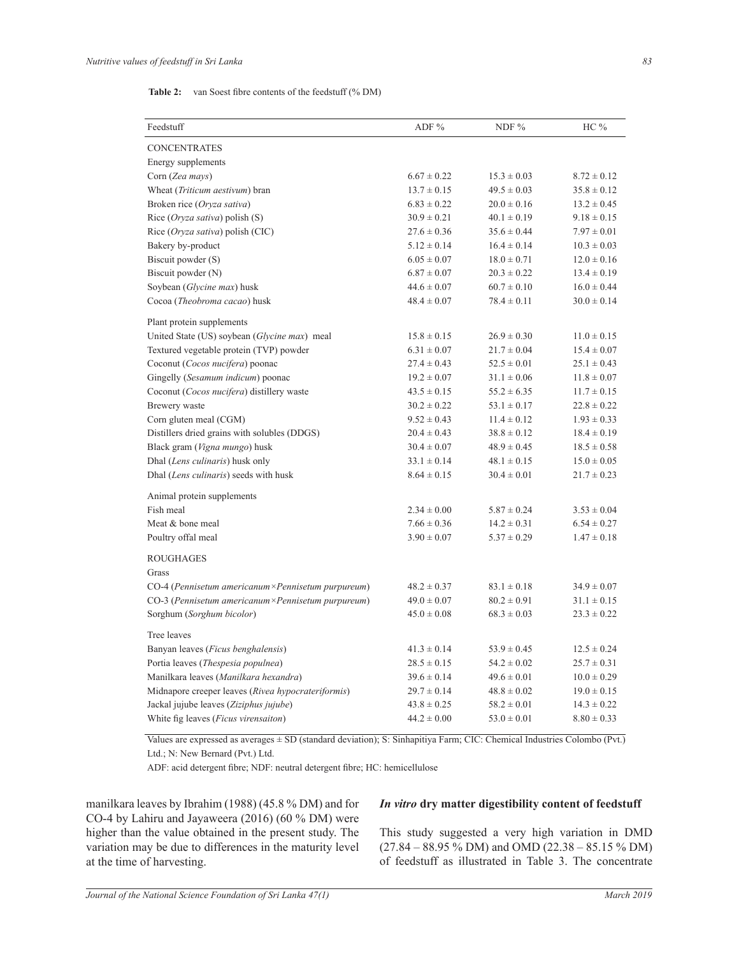#### **Table 2:** van Soest fibre contents of the feedstuff (% DM)

| Feedstuff                                          | ADF %           | NDF $%$         | HC %            |
|----------------------------------------------------|-----------------|-----------------|-----------------|
|                                                    |                 |                 |                 |
| <b>CONCENTRATES</b>                                |                 |                 |                 |
| Energy supplements                                 |                 |                 |                 |
| Corn (Zea mays)                                    | $6.67 \pm 0.22$ | $15.3 \pm 0.03$ | $8.72 \pm 0.12$ |
| Wheat (Triticum aestivum) bran                     | $13.7 \pm 0.15$ | $49.5 \pm 0.03$ | $35.8 \pm 0.12$ |
| Broken rice (Oryza sativa)                         | $6.83 \pm 0.22$ | $20.0 \pm 0.16$ | $13.2 \pm 0.45$ |
| Rice ( <i>Oryza sativa</i> ) polish (S)            | $30.9 \pm 0.21$ | $40.1 \pm 0.19$ | $9.18 \pm 0.15$ |
| Rice (Oryza sativa) polish (CIC)                   | $27.6 \pm 0.36$ | $35.6 \pm 0.44$ | $7.97 \pm 0.01$ |
| Bakery by-product                                  | $5.12 \pm 0.14$ | $16.4 \pm 0.14$ | $10.3 \pm 0.03$ |
| Biscuit powder (S)                                 | $6.05 \pm 0.07$ | $18.0 \pm 0.71$ | $12.0 \pm 0.16$ |
| Biscuit powder (N)                                 | $6.87 \pm 0.07$ | $20.3 \pm 0.22$ | $13.4 \pm 0.19$ |
| Soybean (Glycine max) husk                         | $44.6 \pm 0.07$ | $60.7 \pm 0.10$ | $16.0 \pm 0.44$ |
| Cocoa (Theobroma cacao) husk                       | $48.4 \pm 0.07$ | $78.4 \pm 0.11$ | $30.0 \pm 0.14$ |
| Plant protein supplements                          |                 |                 |                 |
| United State (US) soybean (Glycine max) meal       | $15.8 \pm 0.15$ | $26.9 \pm 0.30$ | $11.0 \pm 0.15$ |
| Textured vegetable protein (TVP) powder            | $6.31 \pm 0.07$ | $21.7 \pm 0.04$ | $15.4 \pm 0.07$ |
| Coconut (Cocos nucifera) poonac                    | $27.4 \pm 0.43$ | $52.5 \pm 0.01$ | $25.1 \pm 0.43$ |
| Gingelly (Sesamum indicum) poonac                  | $19.2 \pm 0.07$ | $31.1 \pm 0.06$ | $11.8 \pm 0.07$ |
| Coconut (Cocos nucifera) distillery waste          | $43.5 \pm 0.15$ | $55.2 \pm 6.35$ | $11.7 \pm 0.15$ |
| Brewery waste                                      | $30.2 \pm 0.22$ | $53.1 \pm 0.17$ | $22.8 \pm 0.22$ |
| Corn gluten meal (CGM)                             | $9.52 \pm 0.43$ | $11.4 \pm 0.12$ | $1.93 \pm 0.33$ |
| Distillers dried grains with solubles (DDGS)       | $20.4 \pm 0.43$ | $38.8 \pm 0.12$ | $18.4 \pm 0.19$ |
| Black gram (Vigna mungo) husk                      | $30.4 \pm 0.07$ | $48.9 \pm 0.45$ | $18.5 \pm 0.58$ |
| Dhal (Lens culinaris) husk only                    | $33.1 \pm 0.14$ | $48.1 \pm 0.15$ | $15.0 \pm 0.05$ |
| Dhal (Lens culinaris) seeds with husk              | $8.64 \pm 0.15$ | $30.4 \pm 0.01$ | $21.7 \pm 0.23$ |
| Animal protein supplements                         |                 |                 |                 |
| Fish meal                                          | $2.34 \pm 0.00$ | $5.87 \pm 0.24$ | $3.53 \pm 0.04$ |
| Meat & bone meal                                   | $7.66 \pm 0.36$ | $14.2 \pm 0.31$ | $6.54 \pm 0.27$ |
| Poultry offal meal                                 | $3.90 \pm 0.07$ | $5.37 \pm 0.29$ | $1.47 \pm 0.18$ |
|                                                    |                 |                 |                 |
| <b>ROUGHAGES</b>                                   |                 |                 |                 |
| Grass                                              |                 |                 |                 |
| CO-4 (Pennisetum americanum×Pennisetum purpureum)  | $48.2 \pm 0.37$ | $83.1 \pm 0.18$ | $34.9 \pm 0.07$ |
| CO-3 (Pennisetum americanum×Pennisetum purpureum)  | $49.0 \pm 0.07$ | $80.2 \pm 0.91$ | $31.1 \pm 0.15$ |
| Sorghum (Sorghum bicolor)                          | $45.0 \pm 0.08$ | $68.3 \pm 0.03$ | $23.3 \pm 0.22$ |
| Tree leaves                                        |                 |                 |                 |
| Banyan leaves (Ficus benghalensis)                 | $41.3 \pm 0.14$ | $53.9 \pm 0.45$ | $12.5 \pm 0.24$ |
| Portia leaves (Thespesia populnea)                 | $28.5 \pm 0.15$ | $54.2 \pm 0.02$ | $25.7 \pm 0.31$ |
| Manilkara leaves (Manilkara hexandra)              | $39.6 \pm 0.14$ | $49.6 \pm 0.01$ | $10.0 \pm 0.29$ |
| Midnapore creeper leaves (Rivea hypocrateriformis) | $29.7 \pm 0.14$ | $48.8 \pm 0.02$ | $19.0 \pm 0.15$ |
| Jackal jujube leaves (Ziziphus jujube)             | $43.8 \pm 0.25$ | $58.2 \pm 0.01$ | $14.3 \pm 0.22$ |
| White fig leaves (Ficus virensaiton)               | $44.2 \pm 0.00$ | $53.0 \pm 0.01$ | $8.80 \pm 0.33$ |

Values are expressed as averages ± SD (standard deviation); S: Sinhapitiya Farm; CIC: Chemical Industries Colombo (Pvt.) Ltd.; N: New Bernard (Pvt.) Ltd.

ADF: acid detergent fibre; NDF: neutral detergent fibre; HC: hemicellulose

manilkara leaves by Ibrahim (1988) (45.8 % DM) and for CO-4 by Lahiru and Jayaweera (2016) (60 % DM) were higher than the value obtained in the present study. The variation may be due to differences in the maturity level at the time of harvesting.

# *In vitro* dry matter digestibility content of feedstuff

This study suggested a very high variation in DMD  $(27.84 - 88.95\% \text{ DM})$  and OMD  $(22.38 - 85.15\% \text{ DM})$ of feedstuff as illustrated in Table 3. The concentrate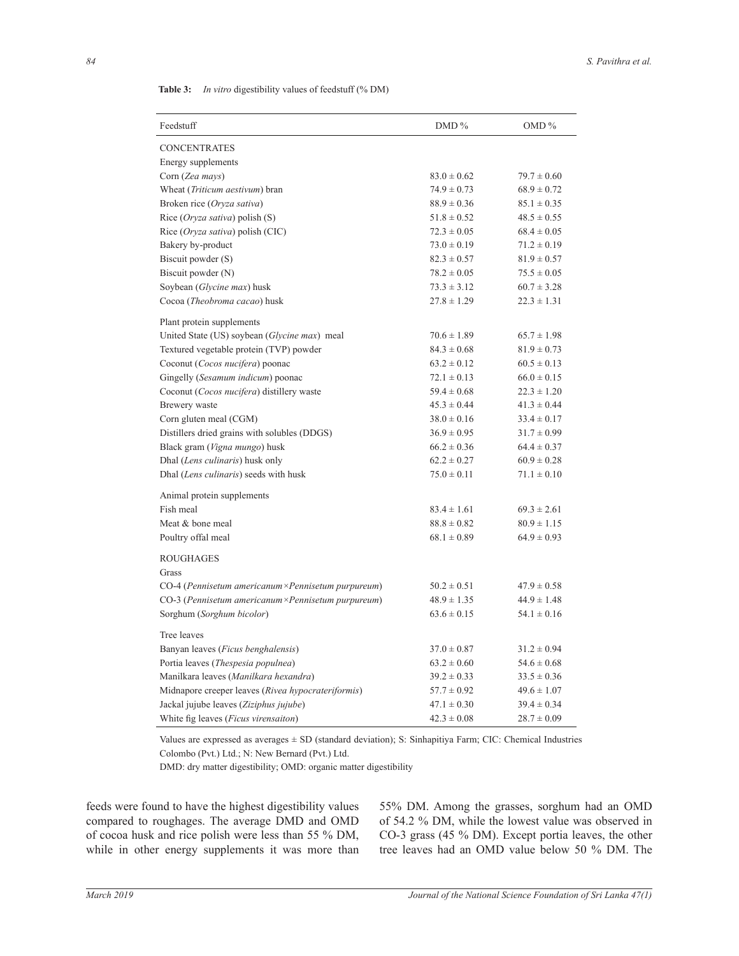| Table 3: |  | <i>In vitro</i> digestibility values of feedstuff (% DM) |  |  |  |  |
|----------|--|----------------------------------------------------------|--|--|--|--|
|----------|--|----------------------------------------------------------|--|--|--|--|

| Feedstuff                                          | DMD %           | $OMD\%$         |
|----------------------------------------------------|-----------------|-----------------|
| <b>CONCENTRATES</b>                                |                 |                 |
| Energy supplements                                 |                 |                 |
| Corn (Zea mays)                                    | $83.0 \pm 0.62$ | $79.7 \pm 0.60$ |
| Wheat (Triticum aestivum) bran                     | $74.9 \pm 0.73$ | $68.9 \pm 0.72$ |
| Broken rice (Oryza sativa)                         | $88.9 \pm 0.36$ | $85.1 \pm 0.35$ |
| Rice ( <i>Oryza sativa</i> ) polish (S)            | $51.8 \pm 0.52$ | $48.5 \pm 0.55$ |
| Rice (Oryza sativa) polish (CIC)                   | $72.3 \pm 0.05$ | $68.4 \pm 0.05$ |
| Bakery by-product                                  | $73.0 \pm 0.19$ | $71.2 \pm 0.19$ |
| Biscuit powder (S)                                 | $82.3 \pm 0.57$ | $81.9 \pm 0.57$ |
| Biscuit powder (N)                                 | $78.2 \pm 0.05$ | $75.5 \pm 0.05$ |
| Soybean (Glycine max) husk                         | $73.3 \pm 3.12$ | $60.7 \pm 3.28$ |
| Cocoa (Theobroma cacao) husk                       | $27.8 \pm 1.29$ | $22.3 \pm 1.31$ |
| Plant protein supplements                          |                 |                 |
| United State (US) soybean (Glycine max) meal       | $70.6 \pm 1.89$ | $65.7 \pm 1.98$ |
| Textured vegetable protein (TVP) powder            | $84.3 \pm 0.68$ | $81.9 \pm 0.73$ |
| Coconut (Cocos nucifera) poonac                    | $63.2 \pm 0.12$ | $60.5 \pm 0.13$ |
| Gingelly (Sesamum indicum) poonac                  | $72.1 \pm 0.13$ | $66.0 \pm 0.15$ |
| Coconut (Cocos nucifera) distillery waste          | $59.4 \pm 0.68$ | $22.3 \pm 1.20$ |
| Brewery waste                                      | $45.3 \pm 0.44$ | $41.3 \pm 0.44$ |
| Corn gluten meal (CGM)                             | $38.0 \pm 0.16$ | $33.4 \pm 0.17$ |
| Distillers dried grains with solubles (DDGS)       | $36.9 \pm 0.95$ | $31.7 \pm 0.99$ |
| Black gram (Vigna mungo) husk                      | $66.2 \pm 0.36$ | $64.4 \pm 0.37$ |
| Dhal (Lens culinaris) husk only                    | $62.2 \pm 0.27$ | $60.9 \pm 0.28$ |
| Dhal (Lens culinaris) seeds with husk              | $75.0 \pm 0.11$ | $71.1 \pm 0.10$ |
| Animal protein supplements                         |                 |                 |
| Fish meal                                          | $83.4 \pm 1.61$ | $69.3 \pm 2.61$ |
| Meat & bone meal                                   | $88.8 \pm 0.82$ | $80.9 \pm 1.15$ |
| Poultry offal meal                                 | $68.1 \pm 0.89$ | $64.9 \pm 0.93$ |
| <b>ROUGHAGES</b>                                   |                 |                 |
| Grass                                              |                 |                 |
| CO-4 (Pennisetum americanum×Pennisetum purpureum)  | $50.2 \pm 0.51$ | $47.9 \pm 0.58$ |
| CO-3 (Pennisetum americanum×Pennisetum purpureum)  | $48.9 \pm 1.35$ | $44.9 \pm 1.48$ |
| Sorghum (Sorghum bicolor)                          | $63.6 \pm 0.15$ | $54.1 \pm 0.16$ |
| Tree leaves                                        |                 |                 |
| Banyan leaves ( <i>Ficus benghalensis</i> )        | $37.0 \pm 0.87$ | $31.2 \pm 0.94$ |
| Portia leaves (Thespesia populnea)                 | $63.2 \pm 0.60$ | $54.6 \pm 0.68$ |
| Manilkara leaves (Manilkara hexandra)              | $39.2 \pm 0.33$ | $33.5 \pm 0.36$ |
| Midnapore creeper leaves (Rivea hypocrateriformis) | $57.7 \pm 0.92$ | $49.6 \pm 1.07$ |
| Jackal jujube leaves (Ziziphus jujube)             | $47.1 \pm 0.30$ | $39.4 \pm 0.34$ |
| White fig leaves ( <i>Ficus virensaiton</i> )      | $42.3 \pm 0.08$ | $28.7 \pm 0.09$ |

Values are expressed as averages ± SD (standard deviation); S: Sinhapitiya Farm; CIC: Chemical Industries Colombo (Pvt.) Ltd.; N: New Bernard (Pvt.) Ltd.

DMD: dry matter digestibility; OMD: organic matter digestibility

feeds were found to have the highest digestibility values compared to roughages. The average DMD and OMD of cocoa husk and rice polish were less than 55 % DM, while in other energy supplements it was more than 55% DM. Among the grasses, sorghum had an OMD of 54.2 % DM, while the lowest value was observed in CO-3 grass (45 % DM). Except portia leaves, the other tree leaves had an OMD value below 50 % DM. The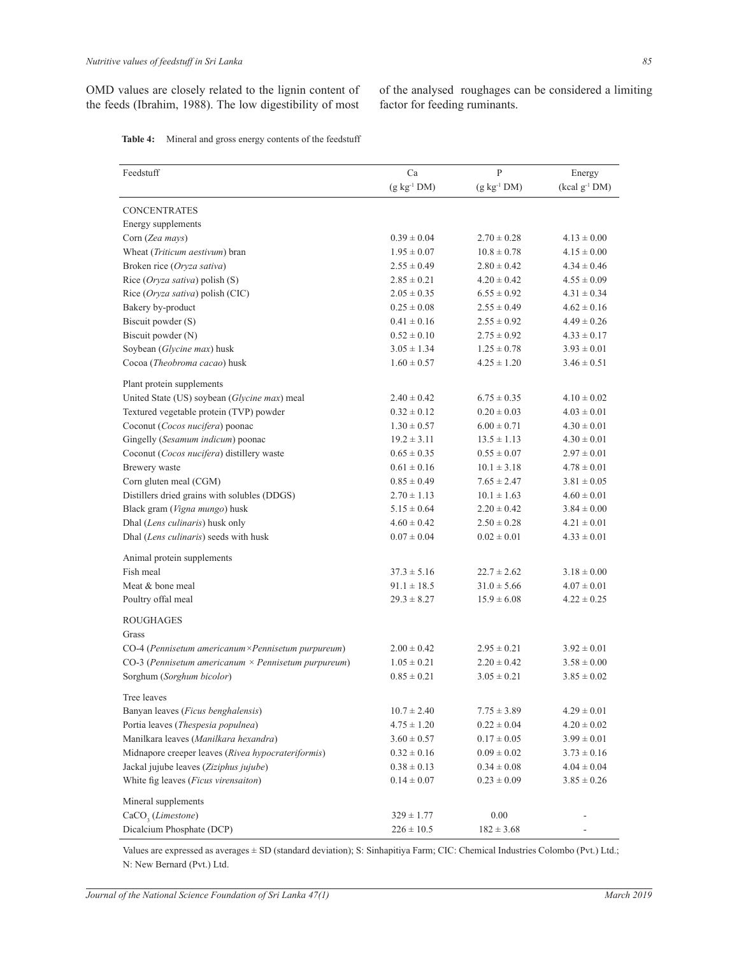OMD values are closely related to the lignin content of the feeds (Ibrahim, 1988). The low digestibility of most

of the analysed roughages can be considered a limiting factor for feeding ruminants.

| Table 4: | Mineral and gross energy contents of the feedstuff |  |  |  |  |  |
|----------|----------------------------------------------------|--|--|--|--|--|
|----------|----------------------------------------------------|--|--|--|--|--|

| Feedstuff                                                  | Ca                 | $\mathbf{P}$    | Energy                    |
|------------------------------------------------------------|--------------------|-----------------|---------------------------|
|                                                            | $(g \ kg^{-1} DM)$ | $(g kg-1 DM)$   | (kcal g <sup>-1</sup> DM) |
| <b>CONCENTRATES</b>                                        |                    |                 |                           |
| Energy supplements                                         |                    |                 |                           |
| Corn (Zea mays)                                            | $0.39 \pm 0.04$    | $2.70 \pm 0.28$ | $4.13 \pm 0.00$           |
| Wheat (Triticum aestivum) bran                             | $1.95 \pm 0.07$    | $10.8 \pm 0.78$ | $4.15 \pm 0.00$           |
| Broken rice (Oryza sativa)                                 | $2.55 \pm 0.49$    | $2.80 \pm 0.42$ | $4.34 \pm 0.46$           |
| Rice (Oryza sativa) polish (S)                             | $2.85 \pm 0.21$    | $4.20 \pm 0.42$ | $4.55 \pm 0.09$           |
| Rice (Oryza sativa) polish (CIC)                           | $2.05 \pm 0.35$    | $6.55 \pm 0.92$ | $4.31 \pm 0.34$           |
| Bakery by-product                                          | $0.25 \pm 0.08$    | $2.55 \pm 0.49$ | $4.62 \pm 0.16$           |
| Biscuit powder (S)                                         | $0.41 \pm 0.16$    | $2.55 \pm 0.92$ | $4.49 \pm 0.26$           |
| Biscuit powder (N)                                         | $0.52 \pm 0.10$    | $2.75 \pm 0.92$ | $4.33 \pm 0.17$           |
| Soybean (Glycine max) husk                                 | $3.05 \pm 1.34$    | $1.25 \pm 0.78$ | $3.93 \pm 0.01$           |
| Cocoa (Theobroma cacao) husk                               | $1.60 \pm 0.57$    | $4.25 \pm 1.20$ | $3.46 \pm 0.51$           |
| Plant protein supplements                                  |                    |                 |                           |
| United State (US) soybean (Glycine max) meal               | $2.40 \pm 0.42$    | $6.75 \pm 0.35$ | $4.10 \pm 0.02$           |
| Textured vegetable protein (TVP) powder                    | $0.32 \pm 0.12$    | $0.20 \pm 0.03$ | $4.03 \pm 0.01$           |
| Coconut (Cocos nucifera) poonac                            | $1.30 \pm 0.57$    | $6.00 \pm 0.71$ | $4.30 \pm 0.01$           |
| Gingelly (Sesamum indicum) poonac                          | $19.2 \pm 3.11$    | $13.5 \pm 1.13$ | $4.30 \pm 0.01$           |
| Coconut (Cocos nucifera) distillery waste                  | $0.65 \pm 0.35$    | $0.55 \pm 0.07$ | $2.97 \pm 0.01$           |
| Brewery waste                                              | $0.61 \pm 0.16$    | $10.1 \pm 3.18$ | $4.78 \pm 0.01$           |
| Corn gluten meal (CGM)                                     | $0.85 \pm 0.49$    | $7.65 \pm 2.47$ | $3.81 \pm 0.05$           |
| Distillers dried grains with solubles (DDGS)               | $2.70 \pm 1.13$    | $10.1 \pm 1.63$ | $4.60 \pm 0.01$           |
| Black gram (Vigna mungo) husk                              | $5.15 \pm 0.64$    | $2.20 \pm 0.42$ | $3.84 \pm 0.00$           |
| Dhal (Lens culinaris) husk only                            | $4.60 \pm 0.42$    | $2.50 \pm 0.28$ | $4.21 \pm 0.01$           |
| Dhal (Lens culinaris) seeds with husk                      | $0.07 \pm 0.04$    | $0.02 \pm 0.01$ | $4.33 \pm 0.01$           |
| Animal protein supplements                                 |                    |                 |                           |
| Fish meal                                                  | $37.3 \pm 5.16$    | $22.7 \pm 2.62$ | $3.18 \pm 0.00$           |
| Meat & bone meal                                           | $91.1 \pm 18.5$    | $31.0 \pm 5.66$ | $4.07 \pm 0.01$           |
| Poultry offal meal                                         | $29.3 \pm 8.27$    | $15.9 \pm 6.08$ | $4.22 \pm 0.25$           |
| <b>ROUGHAGES</b>                                           |                    |                 |                           |
| Grass                                                      |                    |                 |                           |
| CO-4 (Pennisetum americanum × Pennisetum purpureum)        | $2.00 \pm 0.42$    | $2.95 \pm 0.21$ | $3.92 \pm 0.01$           |
| CO-3 (Pennisetum americanum $\times$ Pennisetum purpureum) | $1.05 \pm 0.21$    | $2.20 \pm 0.42$ | $3.58 \pm 0.00$           |
| Sorghum (Sorghum bicolor)                                  | $0.85 \pm 0.21$    | $3.05 \pm 0.21$ | $3.85 \pm 0.02$           |
| Tree leaves                                                |                    |                 |                           |
| Banyan leaves (Ficus benghalensis)                         | $10.7 \pm 2.40$    | $7.75 \pm 3.89$ | $4.29 \pm 0.01$           |
| Portia leaves (Thespesia populnea)                         | $4.75 \pm 1.20$    | $0.22 \pm 0.04$ | $4.20 \pm 0.02$           |
| Manilkara leaves (Manilkara hexandra)                      | $3.60 \pm 0.57$    | $0.17 \pm 0.05$ | $3.99 \pm 0.01$           |
| Midnapore creeper leaves (Rivea hypocrateriformis)         | $0.32 \pm 0.16$    | $0.09 \pm 0.02$ | $3.73 \pm 0.16$           |
| Jackal jujube leaves (Ziziphus jujube)                     | $0.38 \pm 0.13$    | $0.34 \pm 0.08$ | $4.04 \pm 0.04$           |
| White fig leaves (Ficus virensaiton)                       | $0.14 \pm 0.07$    | $0.23 \pm 0.09$ | $3.85 \pm 0.26$           |
| Mineral supplements                                        |                    |                 |                           |
| $CaCO$ <sub>3</sub> ( <i>Limestone</i> )                   | $329 \pm 1.77$     | $0.00\,$        |                           |
| Dicalcium Phosphate (DCP)                                  | $226 \pm 10.5$     | $182 \pm 3.68$  |                           |

Values are expressed as averages ± SD (standard deviation); S: Sinhapitiya Farm; CIC: Chemical Industries Colombo (Pvt.) Ltd.; N: New Bernard (Pvt.) Ltd.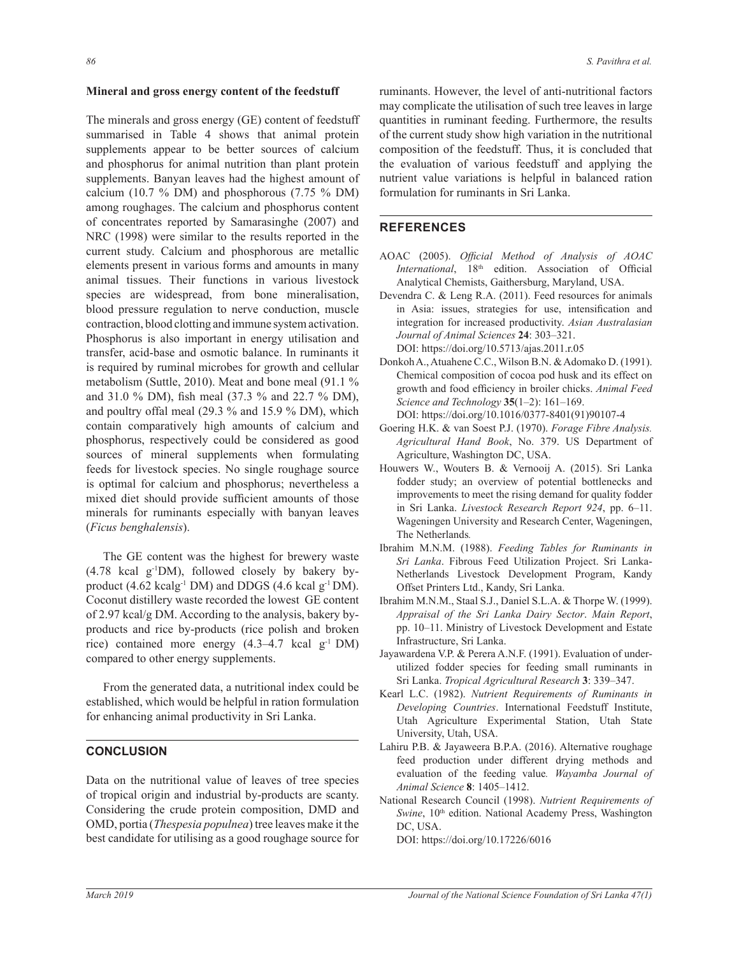#### Mineral and gross energy content of the feedstuff

The minerals and gross energy (GE) content of feedstuff summarised in Table 4 shows that animal protein supplements appear to be better sources of calcium and phosphorus for animal nutrition than plant protein supplements. Banyan leaves had the highest amount of calcium (10.7  $\%$  DM) and phosphorous (7.75  $\%$  DM) among roughages. The calcium and phosphorus content of concentrates reported by Samarasinghe (2007) and NRC (1998) were similar to the results reported in the current study. Calcium and phosphorous are metallic elements present in various forms and amounts in many animal tissues. Their functions in various livestock species are widespread, from bone mineralisation, blood pressure regulation to nerve conduction, muscle contraction, blood clotting and immune system activation. Phosphorus is also important in energy utilisation and transfer, acid-base and osmotic balance. In ruminants it is required by ruminal microbes for growth and cellular metabolism (Suttle, 2010). Meat and bone meal  $(91.1\%$ and 31.0 % DM), fish meal (37.3 % and 22.7 % DM), and poultry offal meal (29.3  $\%$  and 15.9  $\%$  DM), which contain comparatively high amounts of calcium and phosphorus, respectively could be considered as good sources of mineral supplements when formulating feeds for livestock species. No single roughage source is optimal for calcium and phosphorus; nevertheless a mixed diet should provide sufficient amounts of those minerals for ruminants especially with banyan leaves (*Ficus benghalensis*).

 The GE content was the highest for brewery waste  $(4.78 \text{ kcal g}^{-1}DM)$ , followed closely by bakery byproduct  $(4.62 \text{ kcalg}^{-1} \text{ DM})$  and DDGS  $(4.6 \text{ kcalg}^{-1} \text{ DM})$ . Coconut distillery waste recorded the lowest GE content of 2.97 kcal/g DM. According to the analysis, bakery byproducts and rice by-products (rice polish and broken rice) contained more energy  $(4.3-4.7 \text{ kcal g}^{-1} \text{ DM})$ compared to other energy supplements.

From the generated data, a nutritional index could be established, which would be helpful in ration formulation for enhancing animal productivity in Sri Lanka.

# **CONCLUSION**

Data on the nutritional value of leaves of tree species of tropical origin and industrial by-products are scanty. Considering the crude protein composition, DMD and OMD, portia (*Thespesia populnea*) tree leaves make it the best candidate for utilising as a good roughage source for ruminants. However, the level of anti-nutritional factors may complicate the utilisation of such tree leaves in large quantities in ruminant feeding. Furthermore, the results of the current study show high variation in the nutritional composition of the feedstuff. Thus, it is concluded that the evaluation of various feedstuff and applying the nutrient value variations is helpful in balanced ration formulation for ruminants in Sri Lanka.

# **REFERENCES**

- AOAC (2005). Official Method of Analysis of AOAC *International*, 18<sup>th</sup> edition. Association of Official Analytical Chemists, Gaithersburg, Maryland, USA.
- Devendra C. & Leng R.A.  $(2011)$ . Feed resources for animals in Asia: issues, strategies for use, intensification and integration for increased productivity. *Asian Australasian Journal of Animal Sciences* **24**: 303–321. DOI: https://doi.org/10.5713/ajas.2011.r.05
- Donkoh A., Atuahene C.C., Wilson B.N. & Adomako D. (1991). Chemical composition of cocoa pod husk and its effect on growth and food efficiency in broiler chicks. Animal Feed *Science and Technology* **35**(1–2): 161–169.
	- DOI: https://doi.org/10.1016/0377-8401(91)90107-4
- Goering H.K. & van Soest P.J. (1970). Forage Fibre Analysis. Agricultural Hand Book, No. 379. US Department of Agriculture, Washington DC, USA.
- Houwers W., Wouters B. & Vernooij A. (2015). Sri Lanka fodder study; an overview of potential bottlenecks and improvements to meet the rising demand for quality fodder in Sri Lanka. *Livestock Research Report 924*, pp. 6-11. Wageningen University and Research Center, Wageningen, The Netherlands*.*
- Ibrahim M.N.M. (1988). *Feeding Tables for Ruminants in Sri Lanka*. Fibrous Feed Utilization Project. Sri Lanka-Netherlands Livestock Development Program, Kandy Offset Printers Ltd., Kandy, Sri Lanka.
- Ibrahim M.N.M., Staal S.J., Daniel S.L.A. & Thorpe W. (1999). *Appraisal of the Sri Lanka Dairy Sector*. *Main Report* pp. 10–11. Ministry of Livestock Development and Estate Infrastructure, Sri Lanka.
- Jayawardena V.P. & Perera A.N.F. (1991). Evaluation of underutilized fodder species for feeding small ruminants in Sri Lanka. *Tropical Agricultural Research* **3**: 339–347.
- Kearl L.C. (1982). *Nutrient Requirements of Ruminants in Developing Countries*. International Feedstuff Institute, Utah Agriculture Experimental Station, Utah State University, Utah, USA.
- Lahiru P.B. & Jayaweera B.P.A. (2016). Alternative roughage feed production under different drying methods and evaluation of the feeding value*. Wayamba Journal of Animal Science* **8**±
- National Research Council (1998). *Nutrient Requirements of Swine*, 10<sup>th</sup> edition. National Academy Press, Washington DC, USA.

DOI: https://doi.org/10.17226/6016